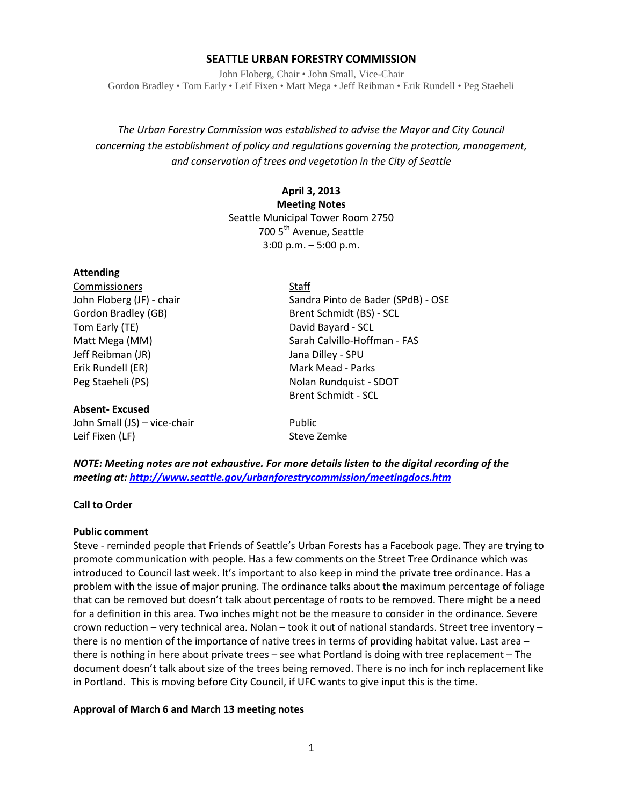## **SEATTLE URBAN FORESTRY COMMISSION**

John Floberg, Chair • John Small, Vice-Chair Gordon Bradley • Tom Early • Leif Fixen • Matt Mega • Jeff Reibman • Erik Rundell • Peg Staeheli

*The Urban Forestry Commission was established to advise the Mayor and City Council concerning the establishment of policy and regulations governing the protection, management, and conservation of trees and vegetation in the City of Seattle*

> **April 3, 2013 Meeting Notes** Seattle Municipal Tower Room 2750 700 5<sup>th</sup> Avenue, Seattle 3:00 p.m. – 5:00 p.m.

### **Attending**

Commissioners Staff Tom Early (TE) **David Bayard - SCL** Jeff Reibman (JR) Jana Dilley - SPU Erik Rundell (ER) Mark Mead - Parks

### **Absent- Excused**

John Small (JS) – vice-chair Public Leif Fixen (LF) Steve Zemke

John Floberg (JF) - chair Sandra Pinto de Bader (SPdB) - OSE Gordon Bradley (GB) Brent Schmidt (BS) - SCL Matt Mega (MM) Sarah Calvillo-Hoffman - FAS Peg Staeheli (PS) Nolan Rundquist - SDOT Brent Schmidt - SCL

*NOTE: Meeting notes are not exhaustive. For more details listen to the digital recording of the meeting at[: http://www.seattle.gov/urbanforestrycommission/meetingdocs.htm](http://www.seattle.gov/urbanforestrycommission/meetingdocs.htm)*

#### **Call to Order**

#### **Public comment**

Steve - reminded people that Friends of Seattle's Urban Forests has a Facebook page. They are trying to promote communication with people. Has a few comments on the Street Tree Ordinance which was introduced to Council last week. It's important to also keep in mind the private tree ordinance. Has a problem with the issue of major pruning. The ordinance talks about the maximum percentage of foliage that can be removed but doesn't talk about percentage of roots to be removed. There might be a need for a definition in this area. Two inches might not be the measure to consider in the ordinance. Severe crown reduction – very technical area. Nolan – took it out of national standards. Street tree inventory – there is no mention of the importance of native trees in terms of providing habitat value. Last area – there is nothing in here about private trees – see what Portland is doing with tree replacement – The document doesn't talk about size of the trees being removed. There is no inch for inch replacement like in Portland. This is moving before City Council, if UFC wants to give input this is the time.

### **Approval of March 6 and March 13 meeting notes**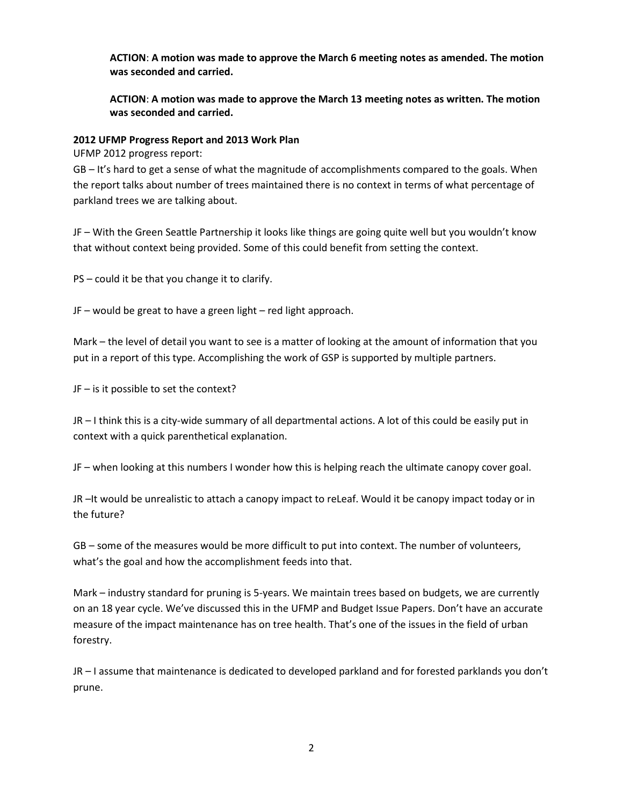**ACTION**: **A motion was made to approve the March 6 meeting notes as amended. The motion was seconded and carried.** 

**ACTION**: **A motion was made to approve the March 13 meeting notes as written. The motion was seconded and carried.** 

### **2012 UFMP Progress Report and 2013 Work Plan**

UFMP 2012 progress report:

GB – It's hard to get a sense of what the magnitude of accomplishments compared to the goals. When the report talks about number of trees maintained there is no context in terms of what percentage of parkland trees we are talking about.

JF – With the Green Seattle Partnership it looks like things are going quite well but you wouldn't know that without context being provided. Some of this could benefit from setting the context.

PS – could it be that you change it to clarify.

JF – would be great to have a green light – red light approach.

Mark – the level of detail you want to see is a matter of looking at the amount of information that you put in a report of this type. Accomplishing the work of GSP is supported by multiple partners.

JF – is it possible to set the context?

JR – I think this is a city-wide summary of all departmental actions. A lot of this could be easily put in context with a quick parenthetical explanation.

JF – when looking at this numbers I wonder how this is helping reach the ultimate canopy cover goal.

JR –It would be unrealistic to attach a canopy impact to reLeaf. Would it be canopy impact today or in the future?

GB – some of the measures would be more difficult to put into context. The number of volunteers, what's the goal and how the accomplishment feeds into that.

Mark – industry standard for pruning is 5-years. We maintain trees based on budgets, we are currently on an 18 year cycle. We've discussed this in the UFMP and Budget Issue Papers. Don't have an accurate measure of the impact maintenance has on tree health. That's one of the issues in the field of urban forestry.

JR – I assume that maintenance is dedicated to developed parkland and for forested parklands you don't prune.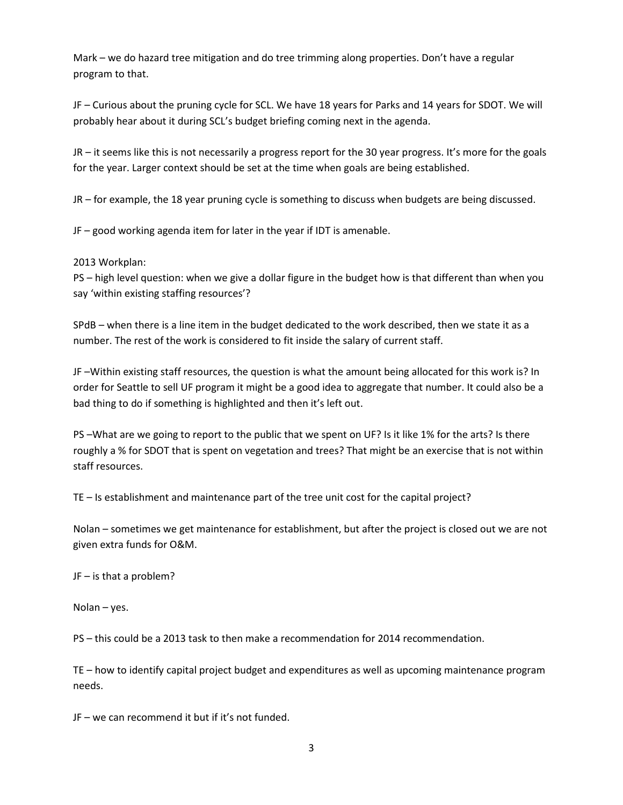Mark – we do hazard tree mitigation and do tree trimming along properties. Don't have a regular program to that.

JF – Curious about the pruning cycle for SCL. We have 18 years for Parks and 14 years for SDOT. We will probably hear about it during SCL's budget briefing coming next in the agenda.

JR – it seems like this is not necessarily a progress report for the 30 year progress. It's more for the goals for the year. Larger context should be set at the time when goals are being established.

JR – for example, the 18 year pruning cycle is something to discuss when budgets are being discussed.

JF – good working agenda item for later in the year if IDT is amenable.

2013 Workplan:

PS – high level question: when we give a dollar figure in the budget how is that different than when you say 'within existing staffing resources'?

SPdB – when there is a line item in the budget dedicated to the work described, then we state it as a number. The rest of the work is considered to fit inside the salary of current staff.

JF –Within existing staff resources, the question is what the amount being allocated for this work is? In order for Seattle to sell UF program it might be a good idea to aggregate that number. It could also be a bad thing to do if something is highlighted and then it's left out.

PS –What are we going to report to the public that we spent on UF? Is it like 1% for the arts? Is there roughly a % for SDOT that is spent on vegetation and trees? That might be an exercise that is not within staff resources.

TE – Is establishment and maintenance part of the tree unit cost for the capital project?

Nolan – sometimes we get maintenance for establishment, but after the project is closed out we are not given extra funds for O&M.

JF – is that a problem?

Nolan – yes.

PS – this could be a 2013 task to then make a recommendation for 2014 recommendation.

TE – how to identify capital project budget and expenditures as well as upcoming maintenance program needs.

JF – we can recommend it but if it's not funded.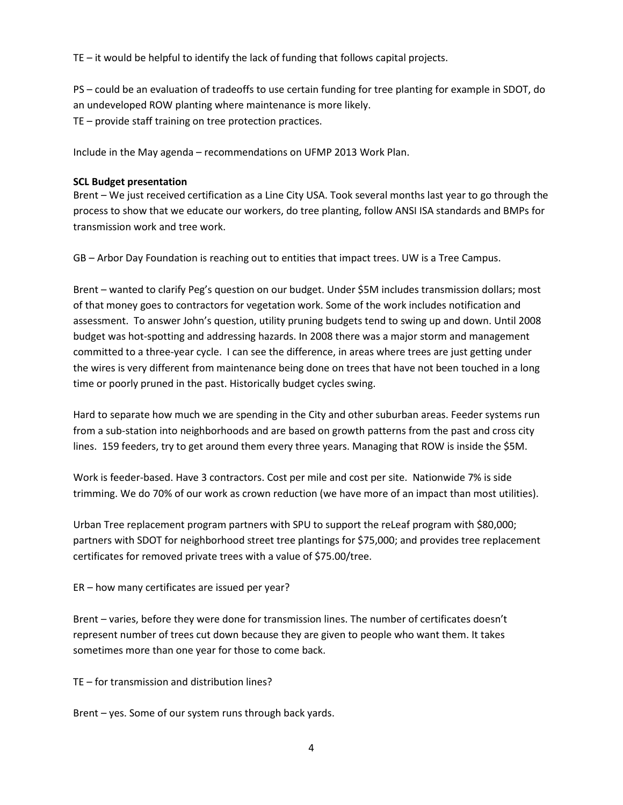TE – it would be helpful to identify the lack of funding that follows capital projects.

PS – could be an evaluation of tradeoffs to use certain funding for tree planting for example in SDOT, do an undeveloped ROW planting where maintenance is more likely. TE – provide staff training on tree protection practices.

Include in the May agenda – recommendations on UFMP 2013 Work Plan.

# **SCL Budget presentation**

Brent – We just received certification as a Line City USA. Took several months last year to go through the process to show that we educate our workers, do tree planting, follow ANSI ISA standards and BMPs for transmission work and tree work.

GB – Arbor Day Foundation is reaching out to entities that impact trees. UW is a Tree Campus.

Brent – wanted to clarify Peg's question on our budget. Under \$5M includes transmission dollars; most of that money goes to contractors for vegetation work. Some of the work includes notification and assessment. To answer John's question, utility pruning budgets tend to swing up and down. Until 2008 budget was hot-spotting and addressing hazards. In 2008 there was a major storm and management committed to a three-year cycle. I can see the difference, in areas where trees are just getting under the wires is very different from maintenance being done on trees that have not been touched in a long time or poorly pruned in the past. Historically budget cycles swing.

Hard to separate how much we are spending in the City and other suburban areas. Feeder systems run from a sub-station into neighborhoods and are based on growth patterns from the past and cross city lines. 159 feeders, try to get around them every three years. Managing that ROW is inside the \$5M.

Work is feeder-based. Have 3 contractors. Cost per mile and cost per site. Nationwide 7% is side trimming. We do 70% of our work as crown reduction (we have more of an impact than most utilities).

Urban Tree replacement program partners with SPU to support the reLeaf program with \$80,000; partners with SDOT for neighborhood street tree plantings for \$75,000; and provides tree replacement certificates for removed private trees with a value of \$75.00/tree.

ER – how many certificates are issued per year?

Brent – varies, before they were done for transmission lines. The number of certificates doesn't represent number of trees cut down because they are given to people who want them. It takes sometimes more than one year for those to come back.

TE – for transmission and distribution lines?

Brent – yes. Some of our system runs through back yards.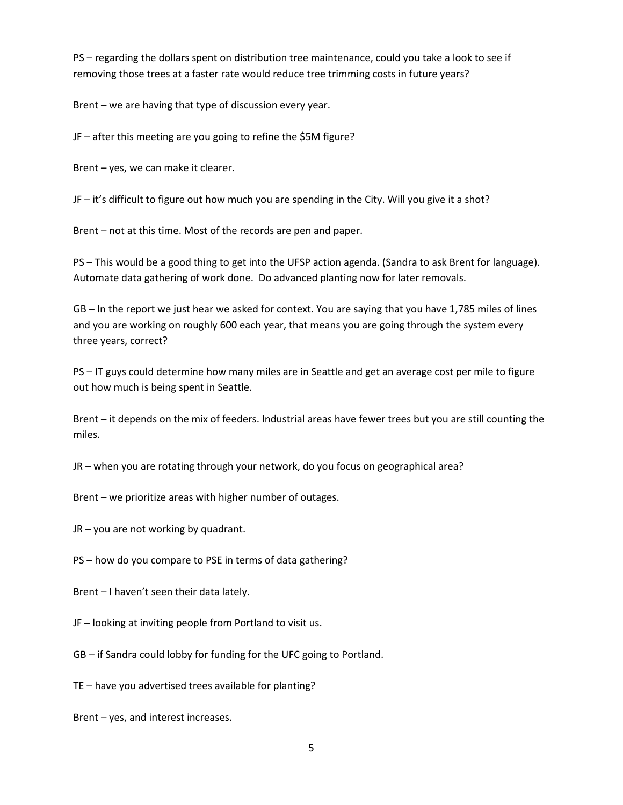PS – regarding the dollars spent on distribution tree maintenance, could you take a look to see if removing those trees at a faster rate would reduce tree trimming costs in future years?

Brent – we are having that type of discussion every year.

JF – after this meeting are you going to refine the \$5M figure?

Brent – yes, we can make it clearer.

JF – it's difficult to figure out how much you are spending in the City. Will you give it a shot?

Brent – not at this time. Most of the records are pen and paper.

PS – This would be a good thing to get into the UFSP action agenda. (Sandra to ask Brent for language). Automate data gathering of work done. Do advanced planting now for later removals.

GB – In the report we just hear we asked for context. You are saying that you have 1,785 miles of lines and you are working on roughly 600 each year, that means you are going through the system every three years, correct?

PS – IT guys could determine how many miles are in Seattle and get an average cost per mile to figure out how much is being spent in Seattle.

Brent – it depends on the mix of feeders. Industrial areas have fewer trees but you are still counting the miles.

JR – when you are rotating through your network, do you focus on geographical area?

Brent – we prioritize areas with higher number of outages.

JR – you are not working by quadrant.

PS – how do you compare to PSE in terms of data gathering?

Brent – I haven't seen their data lately.

JF – looking at inviting people from Portland to visit us.

GB – if Sandra could lobby for funding for the UFC going to Portland.

TE – have you advertised trees available for planting?

Brent – yes, and interest increases.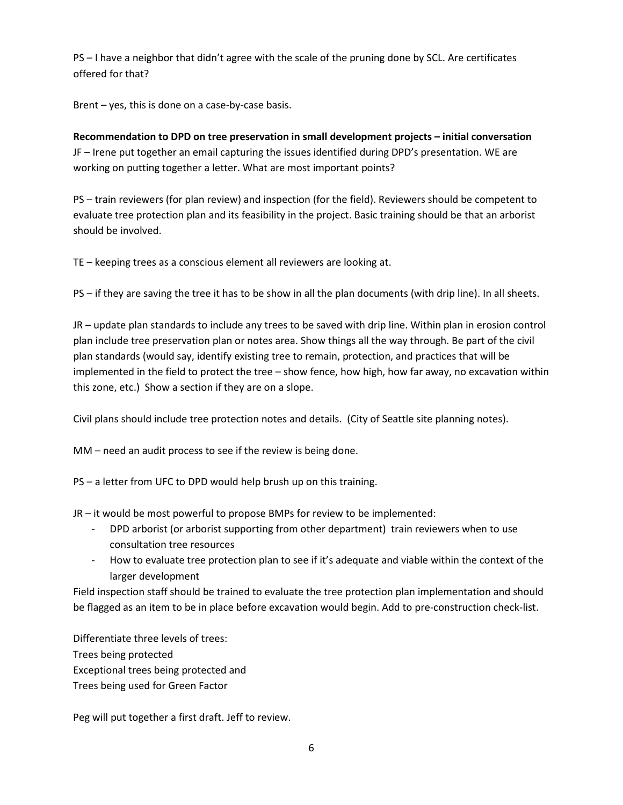PS – I have a neighbor that didn't agree with the scale of the pruning done by SCL. Are certificates offered for that?

Brent – yes, this is done on a case-by-case basis.

**Recommendation to DPD on tree preservation in small development projects – initial conversation** JF – Irene put together an email capturing the issues identified during DPD's presentation. WE are working on putting together a letter. What are most important points?

PS – train reviewers (for plan review) and inspection (for the field). Reviewers should be competent to evaluate tree protection plan and its feasibility in the project. Basic training should be that an arborist should be involved.

TE – keeping trees as a conscious element all reviewers are looking at.

PS – if they are saving the tree it has to be show in all the plan documents (with drip line). In all sheets.

JR – update plan standards to include any trees to be saved with drip line. Within plan in erosion control plan include tree preservation plan or notes area. Show things all the way through. Be part of the civil plan standards (would say, identify existing tree to remain, protection, and practices that will be implemented in the field to protect the tree – show fence, how high, how far away, no excavation within this zone, etc.) Show a section if they are on a slope.

Civil plans should include tree protection notes and details. (City of Seattle site planning notes).

MM – need an audit process to see if the review is being done.

PS – a letter from UFC to DPD would help brush up on this training.

JR – it would be most powerful to propose BMPs for review to be implemented:

- DPD arborist (or arborist supporting from other department) train reviewers when to use consultation tree resources
- How to evaluate tree protection plan to see if it's adequate and viable within the context of the larger development

Field inspection staff should be trained to evaluate the tree protection plan implementation and should be flagged as an item to be in place before excavation would begin. Add to pre-construction check-list.

Differentiate three levels of trees: Trees being protected Exceptional trees being protected and Trees being used for Green Factor

Peg will put together a first draft. Jeff to review.